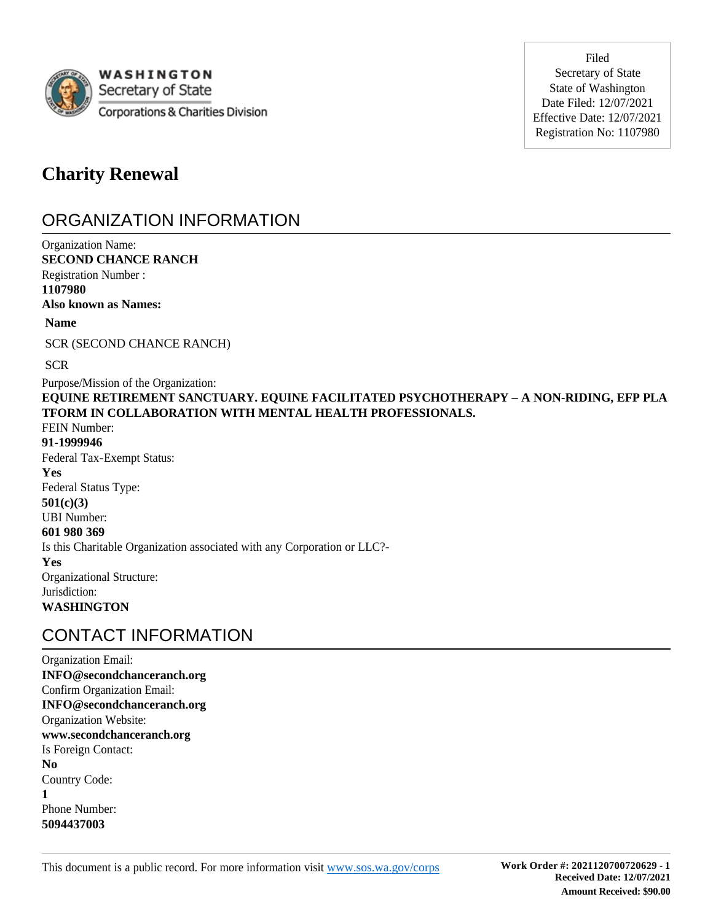

Filed Secretary of State State of Washington Date Filed: 12/07/2021 Effective Date: 12/07/2021 Registration No: 1107980

# **Charity Renewal**

# ORGANIZATION INFORMATION

Organization Name: **SECOND CHANCE RANCH** Registration Number : **1107980 Also known as Names:** Purpose/Mission of the Organization: **EQUINE RETIREMENT SANCTUARY. EQUINE FACILITATED PSYCHOTHERAPY – A NON-RIDING, EFP PLA TFORM IN COLLABORATION WITH MENTAL HEALTH PROFESSIONALS.** FEIN Number: **91-1999946** Federal Tax-Exempt Status: **Yes** Federal Status Type: **501(c)(3)** UBI Number: **601 980 369** Is this Charitable Organization associated with any Corporation or LLC?- **Yes** Organizational Structure: Jurisdiction: **WASHINGTON Name** SCR (SECOND CHANCE RANCH) **SCR** 

# CONTACT INFORMATION

Organization Email: **INFO@secondchanceranch.org** Confirm Organization Email: **INFO@secondchanceranch.org** Organization Website: **www.secondchanceranch.org** Is Foreign Contact: **No** Country Code: **1** Phone Number: **5094437003**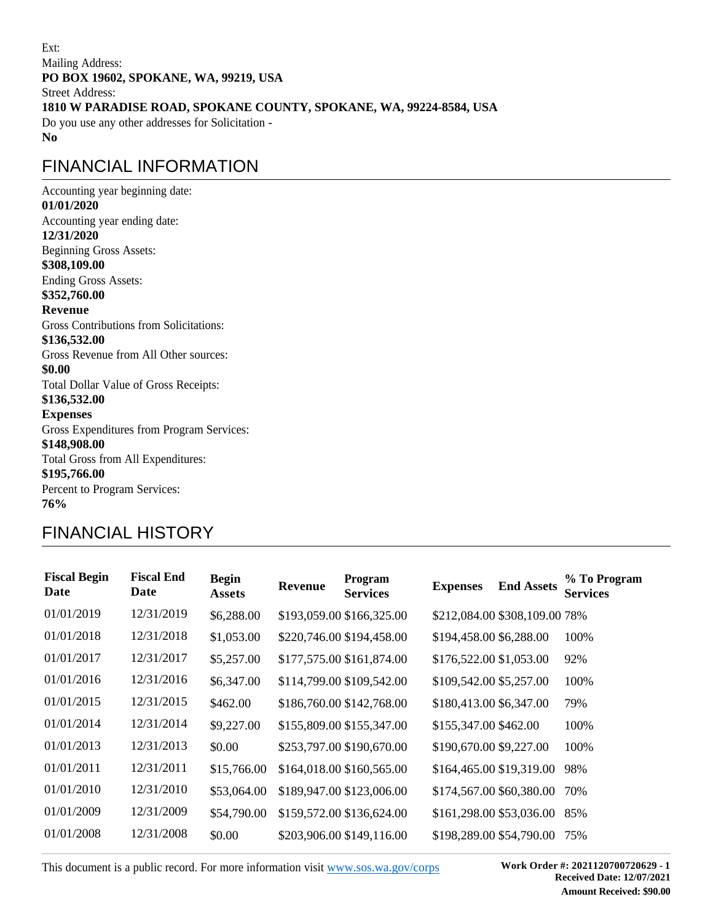Ext: Mailing Address: **PO BOX 19602, SPOKANE, WA, 99219, USA** Street Address: **1810 W PARADISE ROAD, SPOKANE COUNTY, SPOKANE, WA, 99224-8584, USA** Do you use any other addresses for Solicitation - **No**

# FINANCIAL INFORMATION

Accounting year beginning date: **01/01/2020** Accounting year ending date: **12/31/2020** Beginning Gross Assets: **\$308,109.00** Ending Gross Assets: **\$352,760.00 Revenue** Gross Contributions from Solicitations: **\$136,532.00** Gross Revenue from All Other sources: **\$0.00** Total Dollar Value of Gross Receipts: **\$136,532.00 Expenses**  Gross Expenditures from Program Services: **\$148,908.00** Total Gross from All Expenditures: **\$195,766.00** Percent to Program Services: **76%**

# FINANCIAL HISTORY

| <b>Fiscal Begin</b><br>Date | <b>Fiscal End</b><br>Date | <b>Begin</b><br><b>Assets</b> | <b>Revenue</b> | Program<br><b>Services</b> | <b>Expenses</b>               | <b>End Assets</b> | % To Program<br><b>Services</b> |
|-----------------------------|---------------------------|-------------------------------|----------------|----------------------------|-------------------------------|-------------------|---------------------------------|
| 01/01/2019                  | 12/31/2019                | \$6,288.00                    |                | \$193,059.00 \$166,325.00  | \$212,084.00 \$308,109.00 78% |                   |                                 |
| 01/01/2018                  | 12/31/2018                | \$1,053.00                    |                | \$220,746.00 \$194,458.00  | \$194,458.00 \$6,288.00       |                   | 100%                            |
| 01/01/2017                  | 12/31/2017                | \$5,257.00                    |                | \$177,575.00 \$161,874.00  | \$176,522.00 \$1,053.00       |                   | 92%                             |
| 01/01/2016                  | 12/31/2016                | \$6,347.00                    |                | \$114,799.00 \$109,542.00  | \$109,542.00 \$5,257.00       |                   | 100%                            |
| 01/01/2015                  | 12/31/2015                | \$462.00                      |                | \$186,760.00 \$142,768.00  | \$180,413.00 \$6,347.00       |                   | 79%                             |
| 01/01/2014                  | 12/31/2014                | \$9,227.00                    |                | \$155,809.00 \$155,347.00  | \$155,347.00 \$462.00         |                   | 100%                            |
| 01/01/2013                  | 12/31/2013                | \$0.00                        |                | \$253,797.00 \$190,670.00  | \$190,670.00 \$9,227.00       |                   | 100%                            |
| 01/01/2011                  | 12/31/2011                | \$15,766.00                   |                | \$164,018.00 \$160,565.00  | \$164,465.00 \$19,319.00      |                   | 98%                             |
| 01/01/2010                  | 12/31/2010                | \$53,064.00                   |                | \$189,947.00 \$123,006.00  | \$174,567.00 \$60,380.00      |                   | 70%                             |
| 01/01/2009                  | 12/31/2009                | \$54,790.00                   |                | \$159,572.00 \$136,624.00  | \$161,298.00 \$53,036.00      |                   | 85%                             |
| 01/01/2008                  | 12/31/2008                | \$0.00                        |                | \$203,906.00 \$149,116.00  | \$198,289.00 \$54,790.00      |                   | 75%                             |

This document is a public record. For more information visit www.sos.wa.gov/corps **Work Order #: 2021120700720629 - 1** 

**Received Date: 12/07/2021 Amount Received: \$90.00**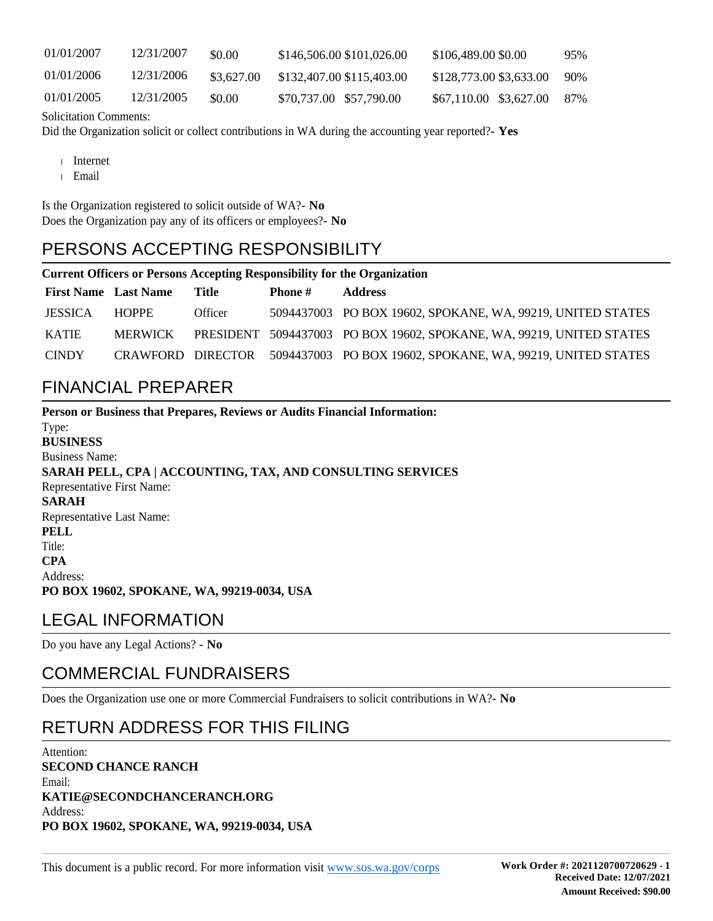| 01/01/2007 | 12/31/2007 | \$0.00     | \$146,506,00 \$101,026,00 | \$106,489,00 \$0.00     | 95% |
|------------|------------|------------|---------------------------|-------------------------|-----|
| 01/01/2006 | 12/31/2006 | \$3,627.00 | \$132,407.00 \$115,403.00 | \$128,773,00 \$3,633,00 | 90% |
| 01/01/2005 | 12/31/2005 | \$0.00     | \$70,737.00 \$57,790.00   | \$67,110.00 \$3,627.00  | 87% |

Solicitation Comments:

Did the Organization solicit or collect contributions in WA during the accounting year reported?- **Yes**

- Internet
- Email

Is the Organization registered to solicit outside of WA?- **No** Does the Organization pay any of its officers or employees?- **No**

# PERSONS ACCEPTING RESPONSIBILITY

#### **Current Officers or Persons Accepting Responsibility for the Organization**

| <b>First Name</b> Last Name |                | Title   | Phone # | <b>Address</b>                                                               |
|-----------------------------|----------------|---------|---------|------------------------------------------------------------------------------|
| <b>JESSICA</b>              | HOPPE          | Officer |         | 5094437003 PO BOX 19602, SPOKANE, WA, 99219, UNITED STATES                   |
| <b>KATIE</b>                | <b>MERWICK</b> |         |         | PRESIDENT 5094437003 PO BOX 19602, SPOKANE, WA, 99219, UNITED STATES         |
| <b>CINDY</b>                |                |         |         | CRAWFORD DIRECTOR 5094437003 PO BOX 19602, SPOKANE, WA, 99219, UNITED STATES |

### FINANCIAL PREPARER

**Person or Business that Prepares, Reviews or Audits Financial Information:** Type: **BUSINESS** Business Name: **SARAH PELL, CPA | ACCOUNTING, TAX, AND CONSULTING SERVICES** Representative First Name: **SARAH** Representative Last Name: **PELL** Title: **CPA** Address: **PO BOX 19602, SPOKANE, WA, 99219-0034, USA**

# LEGAL INFORMATION

Do you have any Legal Actions? - **No**

# COMMERCIAL FUNDRAISERS

Does the Organization use one or more Commercial Fundraisers to solicit contributions in WA?- **No**

# RETURN ADDRESS FOR THIS FILING

Attention: **SECOND CHANCE RANCH** Email: **KATIE@SECONDCHANCERANCH.ORG** Address: **PO BOX 19602, SPOKANE, WA, 99219-0034, USA**